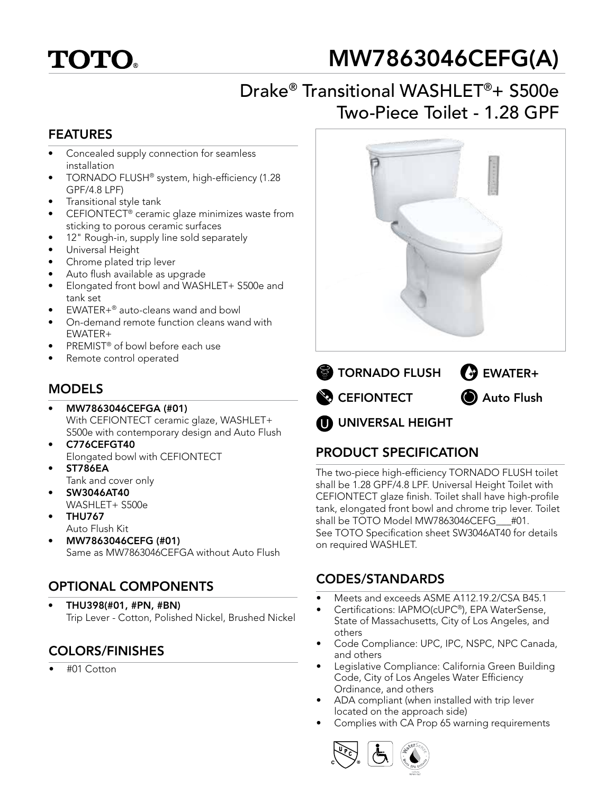# **TOTO**

## MW7863046CEFG(A)

## Drake® Transitional WASHLET®+ S500e Two-Piece Toilet - 1.28 GPF

#### FEATURES

- Concealed supply connection for seamless installation
- TORNADO FLUSH® system, high-efficiency (1.28 GPF/4.8 LPF)
- Transitional style tank
- CEFIONTECT® ceramic glaze minimizes waste from sticking to porous ceramic surfaces
- 12" Rough-in, supply line sold separately
- Universal Height
- Chrome plated trip lever
- Auto flush available as upgrade
- Elongated front bowl and WASHLET+ S500e and tank set
- EWATER+® auto-cleans wand and bowl
- On-demand remote function cleans wand with EWATER+
- PREMIST<sup>®</sup> of bowl before each use
- Remote control operated

#### MODELS

- MW7863046CEFGA (#01) With CEFIONTECT ceramic glaze, WASHLET+ S500e with contemporary design and Auto Flush
- C776CEFGT40 Elongated bowl with CEFIONTECT
- ST786EA
- Tank and cover only • SW3046AT40
- WASHLET+ S500e
- THU767 Auto Flush Kit
- MW7863046CEFG (#01) Same as MW7863046CEFGA without Auto Flush

### OPTIONAL COMPONENTS

• THU398(#01, #PN, #BN) Trip Lever - Cotton, Polished Nickel, Brushed Nickel

## COLORS/FINISHES

• #01 Cotton





**OD** UNIVERSAL HEIGHT

### PRODUCT SPECIFICATION

The two-piece high-efficiency TORNADO FLUSH toilet shall be 1.28 GPF/4.8 LPF. Universal Height Toilet with CEFIONTECT glaze finish. Toilet shall have high-profile tank, elongated front bowl and chrome trip lever. Toilet shall be TOTO Model MW7863046CEFG #01. See TOTO Specification sheet SW3046AT40 for details on required WASHLET.

#### CODES/STANDARDS

- Meets and exceeds ASME A112.19.2/CSA B45.1
- Certifications: IAPMO(cUPC®), EPA WaterSense, State of Massachusetts, City of Los Angeles, and others
- Code Compliance: UPC, IPC, NSPC, NPC Canada, and others
- Legislative Compliance: California Green Building Code, City of Los Angeles Water Efficiency Ordinance, and others
- ADA compliant (when installed with trip lever located on the approach side)
- Complies with CA Prop 65 warning requirements